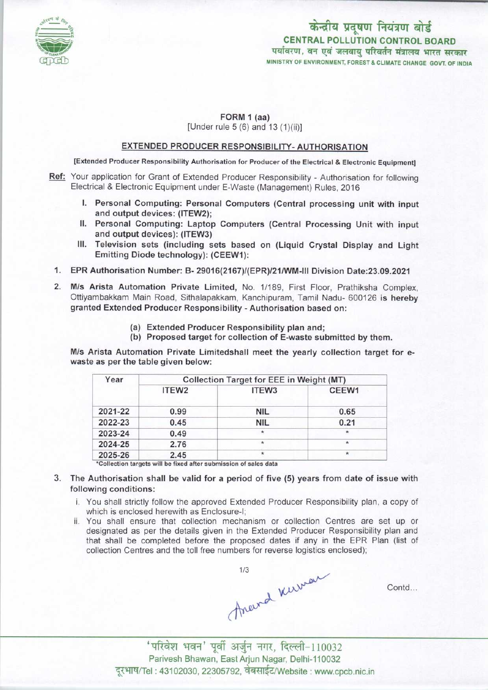

# केन्द्रीय प्रदूषण नियंत्रण बोर्ड CENTRAL POLLUTION CONTROL BOARD<br>पर्यावरण, वन एवं जलवाय परिवर्तन मंत्रालय भारत सरकार MINISTRY OF ENVIRONMENT, FOREST & CLIMATE CHANGE GOVT. OF INDIA

#### FORM 1 (aa)

[Under rule 5 (6) and 13 (1)(ii)]

### EXTENDED PRODUCER RESPONSIBILITY- AUTHORISATION

[Extended Producer Responsibility Authorisation for Producer of the Electrical & Electronic Equipment)

- Ref: Your application for Grant of Extended Producer Responsibility Authorisation for following Electrical & Electronic Equipment under E-Waste (Management) Rules, 2016
	- I. Personal Computing: Personal Computers(Central processing unit with input and output devices: (ITEW2);
	- II. Personal Computing: Laptop Computers (Central Processing Unit with input and output devices): (ITEW3)
	- III.Television sets (including sets based on (Liquid Crystal Display and Light Emitting Diode technology): (CEEW1):
	- 1.EPR Authorisation Number: B- 29016(2167)/(EPR)/21/WM-lll Division Date:23.09.2021
	- 2.M/s Arista Automation Private Limited, No. 1/189, First Floor, Prathiksha Complex, Ottiyambakkam Main Road, Sithalapakkam, Kanchipuram, Tamil Nadu- 600126 is hereby granted Extended Producer Responsibility - Authorisation based on:
		- (a)Extended Producer Responsibility plan and;
		- (b) Proposed target for collection of E-waste submitted by them.

M/s Arista Automation Private Limitedshail meet the yearly collection target for ewaste as per the table given below:

| Year    | <b>Collection Target for EEE in Weight (MT)</b> |                   |         |
|---------|-------------------------------------------------|-------------------|---------|
|         | ITEW <sub>2</sub>                               | ITEW <sub>3</sub> | CEEW1   |
| 2021-22 | 0.99                                            | <b>NIL</b>        | 0.65    |
| 2022-23 | 0.45                                            | <b>NIL</b>        | 0.21    |
| 2023-24 | 0.49                                            |                   | $\star$ |
| 2024-25 | 2.76                                            | $\star$           | $\star$ |
| 2025-26 | 2.45                                            | $\star$           | $\star$ |

- 3. The Authorisation shall be valid for a period of five (5) years from date of issue with following conditions:
	- i. You shall strictly follow the approved Extended Producer Responsibility plan, a copy of which is enclosed herewith as Enclosure-I;
	- ii. You shall ensure that collection mechanism or collection Centres are set up or designated as per the details given in the Extended Producer Responsibility plan and that shall be completed before the proposed dates if any in the EPR Plan (list of collection Centres and the toll free numbers for reverse logistics enclosed);

Areend Kurman

Contd...

 $'$ परिवेश भवन' पूर्वी अर्जुन नगर, दिल्ली-110032 Parivesh Bhawan, East Arjun Nagar, Delhi-110032 दूरभाष/Tel : 43102030, 22305792, वेबसाईट/Website : www.cpcb.nic.in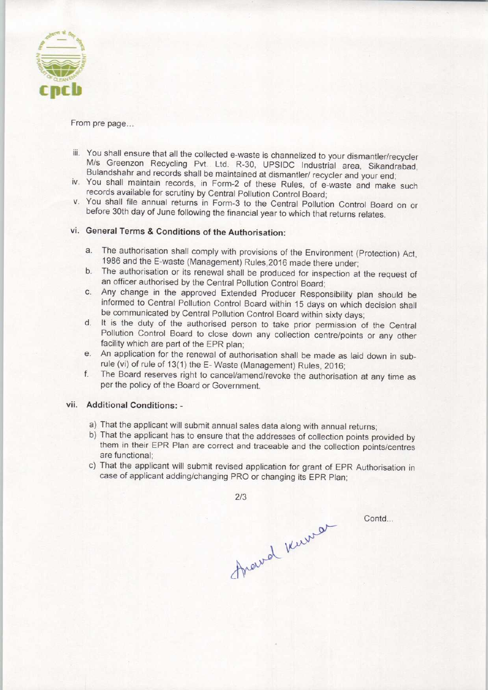

From pre page...

- iii. You shall ensure that all the collected e-waste is channelized to your dismantler/recycler M/s Greenzon Recycling Pvt. Ltd. R-30, UPSIDC Industrial area, Sikandrabad, Bulandshahr and records shall be maintained at dismantler/ recycler and your end;
- iv. You shall maintain records, in Form-2 of these Rules, of e-waste and make such records available for scrutiny by Central Pollution Control Board;
- v. You shall file annual returns in Form-3 to the Central Pollution Control Board on or before 30th day of June following the financial year to which that returns relates.

## vi. General Terms & Conditions of the Authorisation:

- a. The authorisation shall comply with provisions of the Environment (Protection) Act, 1986 and the E-waste (Management) Rules,2016 made there under;
- b. The authorisation or its renewal shall be produced for inspection at the request of an officer authorised by the Central Pollution Control Board;
- c.Any change in the approved Extended Producer Responsibility plan should be informed to Central Pollution Control Board within 15 days on which decision shall be communicated by Central Pollution Control Board within sixty days;
- d. It is the duty of the authorised person to take prior permission of the Central Pollution Control Board to close down any collection centre/points or any other facility which are part of the EPR plan;
- e. An application for the renewal of authorisation shall be made as laid down in subrule (vi) of rule of 13(1) the E- Waste (Management) Rules, 2016;
- f. The Board reserves right to cancel/amend/revoke the authorisation at any time as per the policy of the Board or Government.

#### vii. Additional Conditions: -

- a) That the applicant will submit annual sales data along with annual returns;
- b) That the applicant has to ensure that the addresses of collection points provided by them in their EPR Plan are correct and traceable and the collection points/centres are functional;
- c) That the applicant will submit revised application for grant of EPR Authorisation in case of applicant adding/changing PRO or changing its EPR Plan;

fraved knowner

2/3

Contd...